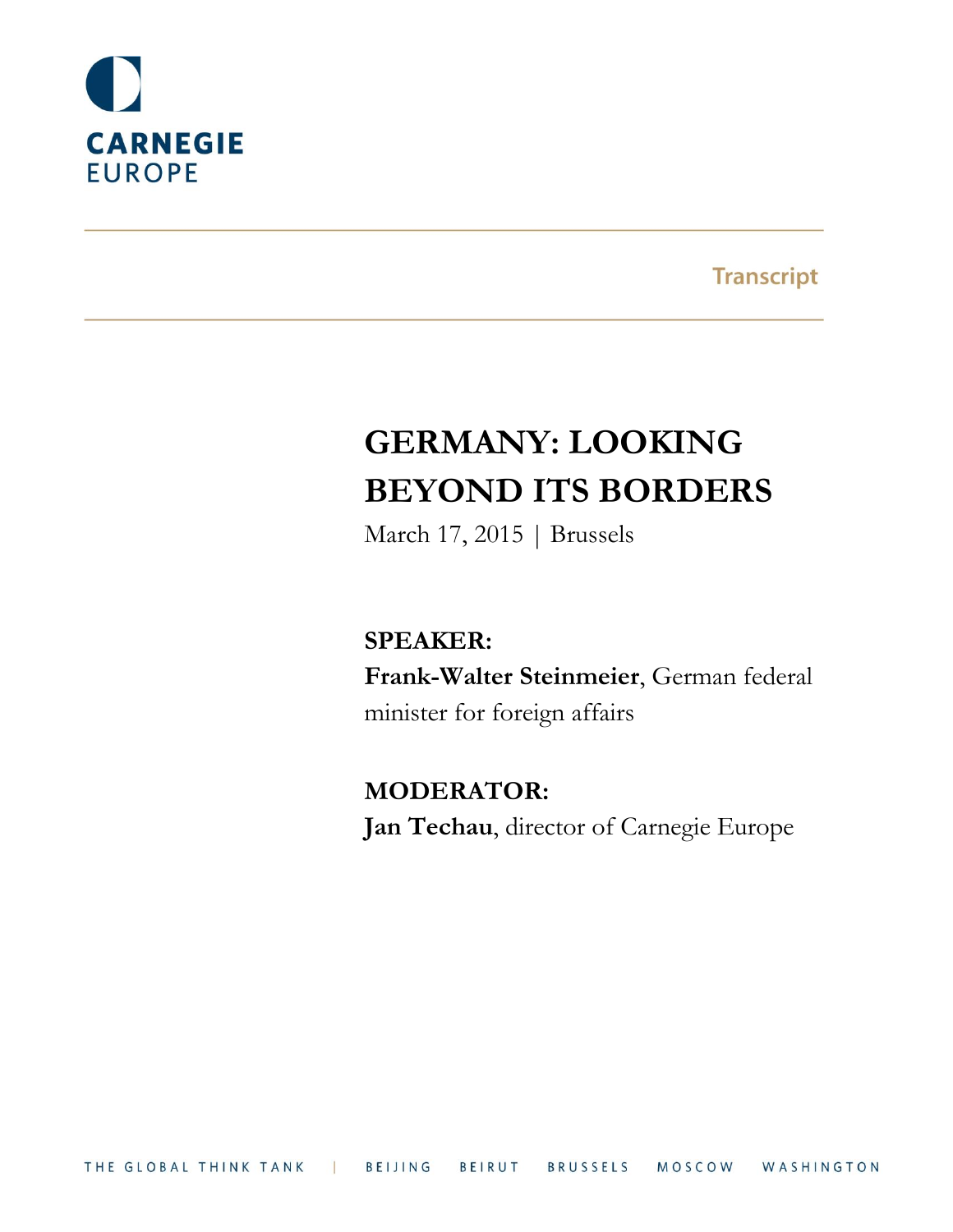

**Transcript** 

# **GERMANY: LOOKING BEYOND ITS BORDERS**

March 17, 2015 | Brussels

**SPEAKER: Frank-Walter Steinmeier**, German federal minister for foreign affairs

**MODERATOR: Jan Techau**, director of Carnegie Europe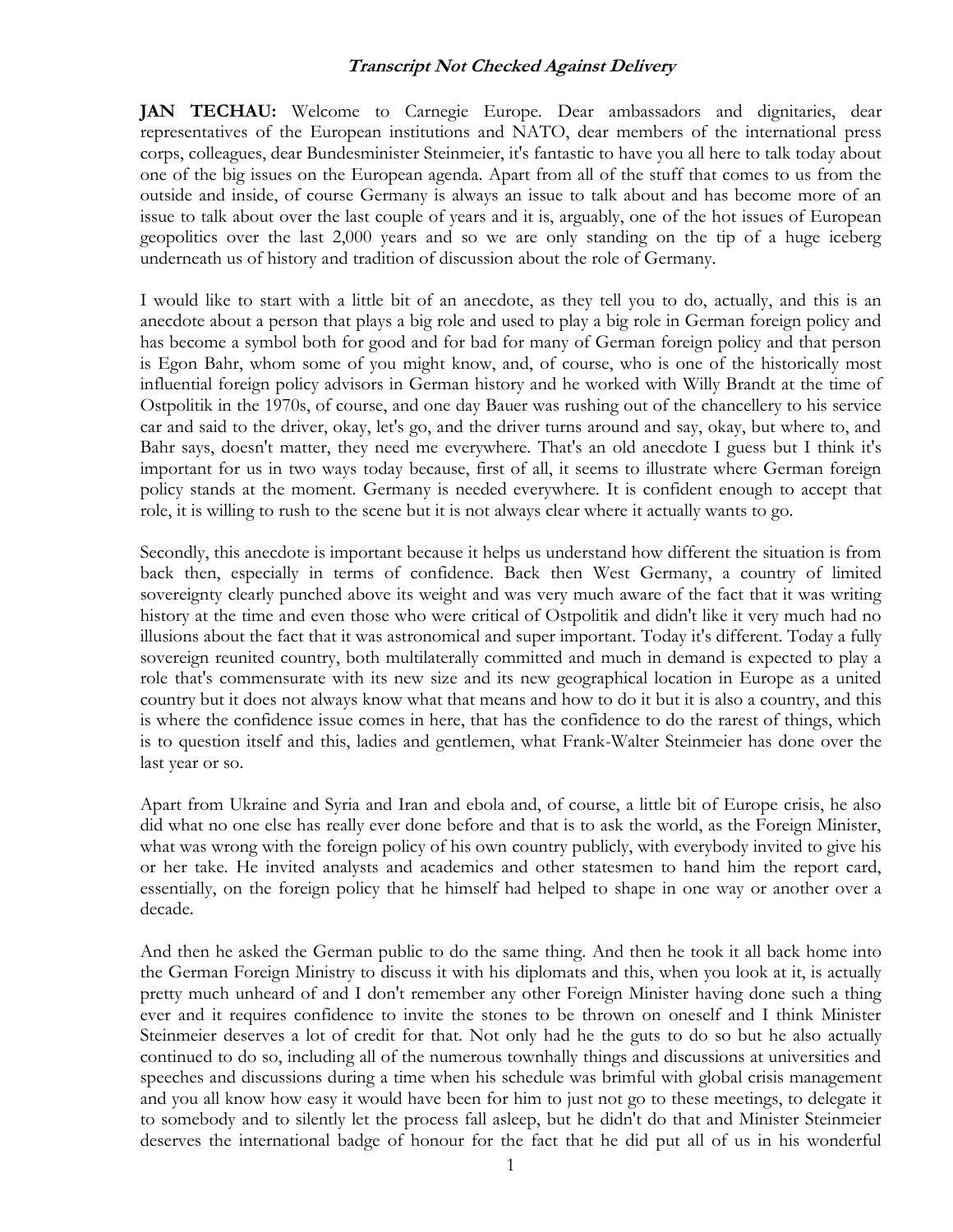**JAN TECHAU:** Welcome to Carnegie Europe. Dear ambassadors and dignitaries, dear representatives of the European institutions and NATO, dear members of the international press corps, colleagues, dear Bundesminister Steinmeier, it's fantastic to have you all here to talk today about one of the big issues on the European agenda. Apart from all of the stuff that comes to us from the outside and inside, of course Germany is always an issue to talk about and has become more of an issue to talk about over the last couple of years and it is, arguably, one of the hot issues of European geopolitics over the last 2,000 years and so we are only standing on the tip of a huge iceberg underneath us of history and tradition of discussion about the role of Germany.

I would like to start with a little bit of an anecdote, as they tell you to do, actually, and this is an anecdote about a person that plays a big role and used to play a big role in German foreign policy and has become a symbol both for good and for bad for many of German foreign policy and that person is Egon Bahr, whom some of you might know, and, of course, who is one of the historically most influential foreign policy advisors in German history and he worked with Willy Brandt at the time of Ostpolitik in the 1970s, of course, and one day Bauer was rushing out of the chancellery to his service car and said to the driver, okay, let's go, and the driver turns around and say, okay, but where to, and Bahr says, doesn't matter, they need me everywhere. That's an old anecdote I guess but I think it's important for us in two ways today because, first of all, it seems to illustrate where German foreign policy stands at the moment. Germany is needed everywhere. It is confident enough to accept that role, it is willing to rush to the scene but it is not always clear where it actually wants to go.

Secondly, this anecdote is important because it helps us understand how different the situation is from back then, especially in terms of confidence. Back then West Germany, a country of limited sovereignty clearly punched above its weight and was very much aware of the fact that it was writing history at the time and even those who were critical of Ostpolitik and didn't like it very much had no illusions about the fact that it was astronomical and super important. Today it's different. Today a fully sovereign reunited country, both multilaterally committed and much in demand is expected to play a role that's commensurate with its new size and its new geographical location in Europe as a united country but it does not always know what that means and how to do it but it is also a country, and this is where the confidence issue comes in here, that has the confidence to do the rarest of things, which is to question itself and this, ladies and gentlemen, what Frank-Walter Steinmeier has done over the last year or so.

Apart from Ukraine and Syria and Iran and ebola and, of course, a little bit of Europe crisis, he also did what no one else has really ever done before and that is to ask the world, as the Foreign Minister, what was wrong with the foreign policy of his own country publicly, with everybody invited to give his or her take. He invited analysts and academics and other statesmen to hand him the report card, essentially, on the foreign policy that he himself had helped to shape in one way or another over a decade.

And then he asked the German public to do the same thing. And then he took it all back home into the German Foreign Ministry to discuss it with his diplomats and this, when you look at it, is actually pretty much unheard of and I don't remember any other Foreign Minister having done such a thing ever and it requires confidence to invite the stones to be thrown on oneself and I think Minister Steinmeier deserves a lot of credit for that. Not only had he the guts to do so but he also actually continued to do so, including all of the numerous townhally things and discussions at universities and speeches and discussions during a time when his schedule was brimful with global crisis management and you all know how easy it would have been for him to just not go to these meetings, to delegate it to somebody and to silently let the process fall asleep, but he didn't do that and Minister Steinmeier deserves the international badge of honour for the fact that he did put all of us in his wonderful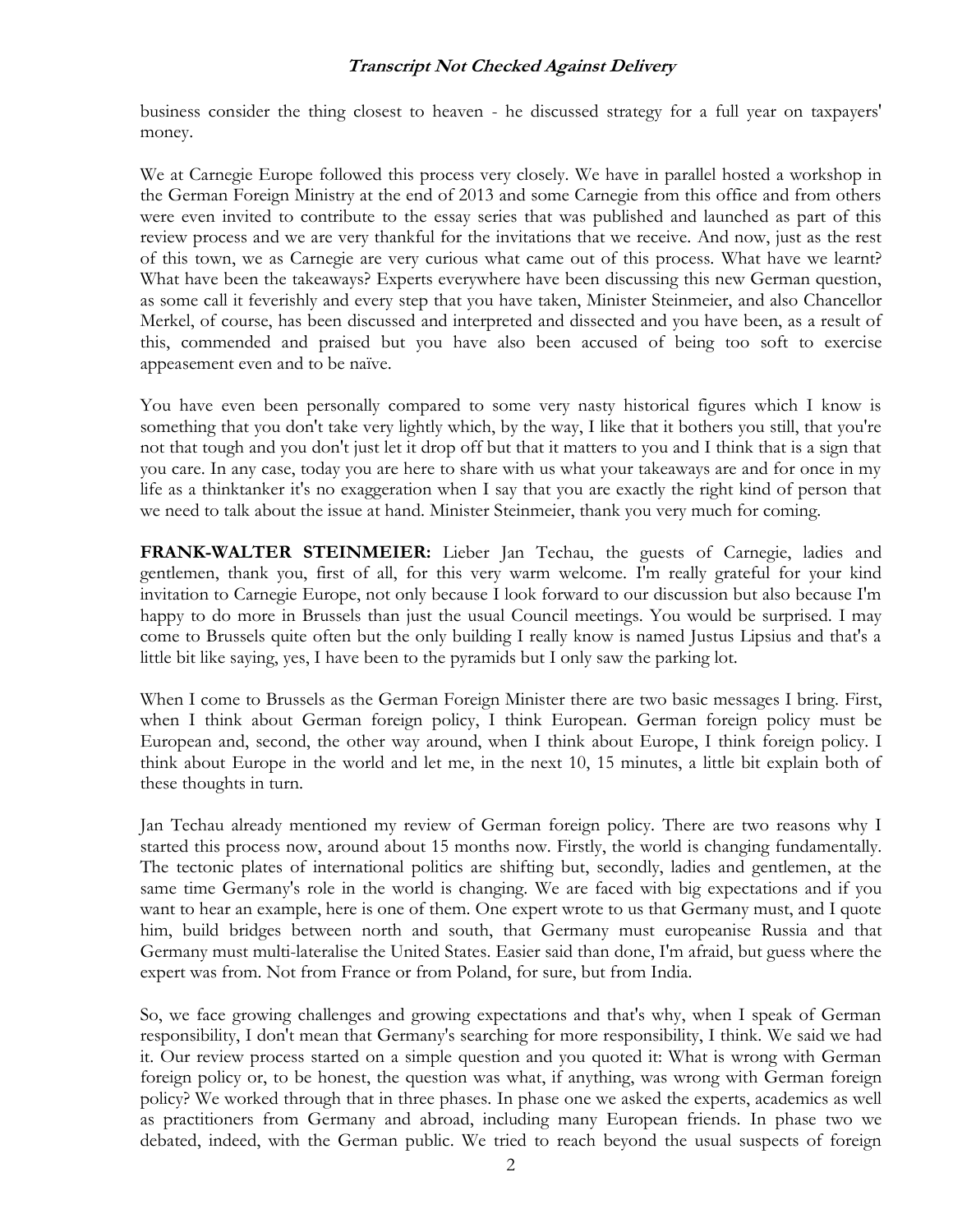business consider the thing closest to heaven - he discussed strategy for a full year on taxpayers' money.

We at Carnegie Europe followed this process very closely. We have in parallel hosted a workshop in the German Foreign Ministry at the end of 2013 and some Carnegie from this office and from others were even invited to contribute to the essay series that was published and launched as part of this review process and we are very thankful for the invitations that we receive. And now, just as the rest of this town, we as Carnegie are very curious what came out of this process. What have we learnt? What have been the takeaways? Experts everywhere have been discussing this new German question, as some call it feverishly and every step that you have taken, Minister Steinmeier, and also Chancellor Merkel, of course, has been discussed and interpreted and dissected and you have been, as a result of this, commended and praised but you have also been accused of being too soft to exercise appeasement even and to be naïve.

You have even been personally compared to some very nasty historical figures which I know is something that you don't take very lightly which, by the way, I like that it bothers you still, that you're not that tough and you don't just let it drop off but that it matters to you and I think that is a sign that you care. In any case, today you are here to share with us what your takeaways are and for once in my life as a thinktanker it's no exaggeration when I say that you are exactly the right kind of person that we need to talk about the issue at hand. Minister Steinmeier, thank you very much for coming.

**FRANK-WALTER STEINMEIER:** Lieber Jan Techau, the guests of Carnegie, ladies and gentlemen, thank you, first of all, for this very warm welcome. I'm really grateful for your kind invitation to Carnegie Europe, not only because I look forward to our discussion but also because I'm happy to do more in Brussels than just the usual Council meetings. You would be surprised. I may come to Brussels quite often but the only building I really know is named Justus Lipsius and that's a little bit like saying, yes, I have been to the pyramids but I only saw the parking lot.

When I come to Brussels as the German Foreign Minister there are two basic messages I bring. First, when I think about German foreign policy, I think European. German foreign policy must be European and, second, the other way around, when I think about Europe, I think foreign policy. I think about Europe in the world and let me, in the next 10, 15 minutes, a little bit explain both of these thoughts in turn.

Jan Techau already mentioned my review of German foreign policy. There are two reasons why I started this process now, around about 15 months now. Firstly, the world is changing fundamentally. The tectonic plates of international politics are shifting but, secondly, ladies and gentlemen, at the same time Germany's role in the world is changing. We are faced with big expectations and if you want to hear an example, here is one of them. One expert wrote to us that Germany must, and I quote him, build bridges between north and south, that Germany must europeanise Russia and that Germany must multi-lateralise the United States. Easier said than done, I'm afraid, but guess where the expert was from. Not from France or from Poland, for sure, but from India.

So, we face growing challenges and growing expectations and that's why, when I speak of German responsibility, I don't mean that Germany's searching for more responsibility, I think. We said we had it. Our review process started on a simple question and you quoted it: What is wrong with German foreign policy or, to be honest, the question was what, if anything, was wrong with German foreign policy? We worked through that in three phases. In phase one we asked the experts, academics as well as practitioners from Germany and abroad, including many European friends. In phase two we debated, indeed, with the German public. We tried to reach beyond the usual suspects of foreign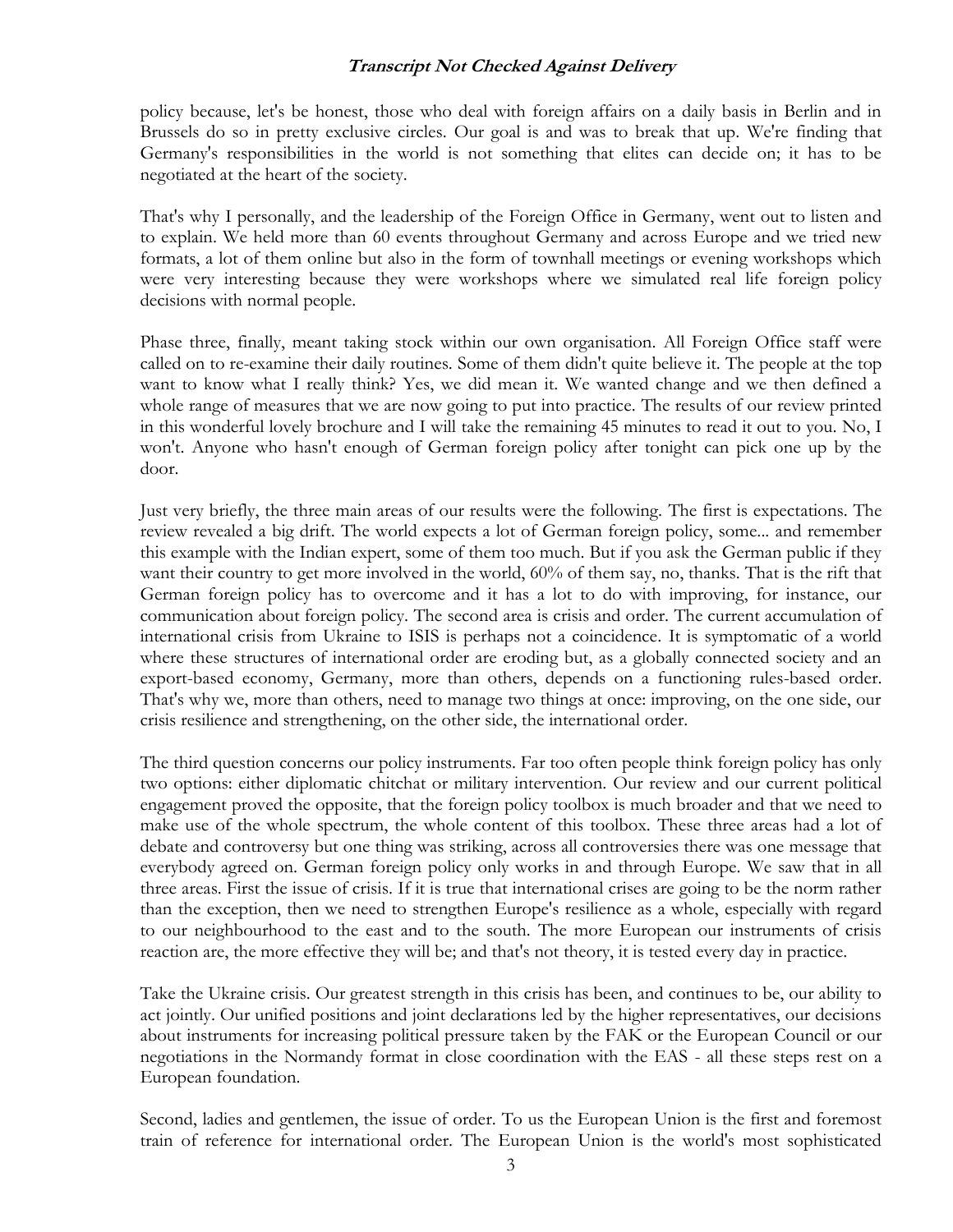policy because, let's be honest, those who deal with foreign affairs on a daily basis in Berlin and in Brussels do so in pretty exclusive circles. Our goal is and was to break that up. We're finding that Germany's responsibilities in the world is not something that elites can decide on; it has to be negotiated at the heart of the society.

That's why I personally, and the leadership of the Foreign Office in Germany, went out to listen and to explain. We held more than 60 events throughout Germany and across Europe and we tried new formats, a lot of them online but also in the form of townhall meetings or evening workshops which were very interesting because they were workshops where we simulated real life foreign policy decisions with normal people.

Phase three, finally, meant taking stock within our own organisation. All Foreign Office staff were called on to re-examine their daily routines. Some of them didn't quite believe it. The people at the top want to know what I really think? Yes, we did mean it. We wanted change and we then defined a whole range of measures that we are now going to put into practice. The results of our review printed in this wonderful lovely brochure and I will take the remaining 45 minutes to read it out to you. No, I won't. Anyone who hasn't enough of German foreign policy after tonight can pick one up by the door.

Just very briefly, the three main areas of our results were the following. The first is expectations. The review revealed a big drift. The world expects a lot of German foreign policy, some... and remember this example with the Indian expert, some of them too much. But if you ask the German public if they want their country to get more involved in the world, 60% of them say, no, thanks. That is the rift that German foreign policy has to overcome and it has a lot to do with improving, for instance, our communication about foreign policy. The second area is crisis and order. The current accumulation of international crisis from Ukraine to ISIS is perhaps not a coincidence. It is symptomatic of a world where these structures of international order are eroding but, as a globally connected society and an export-based economy, Germany, more than others, depends on a functioning rules-based order. That's why we, more than others, need to manage two things at once: improving, on the one side, our crisis resilience and strengthening, on the other side, the international order.

The third question concerns our policy instruments. Far too often people think foreign policy has only two options: either diplomatic chitchat or military intervention. Our review and our current political engagement proved the opposite, that the foreign policy toolbox is much broader and that we need to make use of the whole spectrum, the whole content of this toolbox. These three areas had a lot of debate and controversy but one thing was striking, across all controversies there was one message that everybody agreed on. German foreign policy only works in and through Europe. We saw that in all three areas. First the issue of crisis. If it is true that international crises are going to be the norm rather than the exception, then we need to strengthen Europe's resilience as a whole, especially with regard to our neighbourhood to the east and to the south. The more European our instruments of crisis reaction are, the more effective they will be; and that's not theory, it is tested every day in practice.

Take the Ukraine crisis. Our greatest strength in this crisis has been, and continues to be, our ability to act jointly. Our unified positions and joint declarations led by the higher representatives, our decisions about instruments for increasing political pressure taken by the FAK or the European Council or our negotiations in the Normandy format in close coordination with the EAS - all these steps rest on a European foundation.

Second, ladies and gentlemen, the issue of order. To us the European Union is the first and foremost train of reference for international order. The European Union is the world's most sophisticated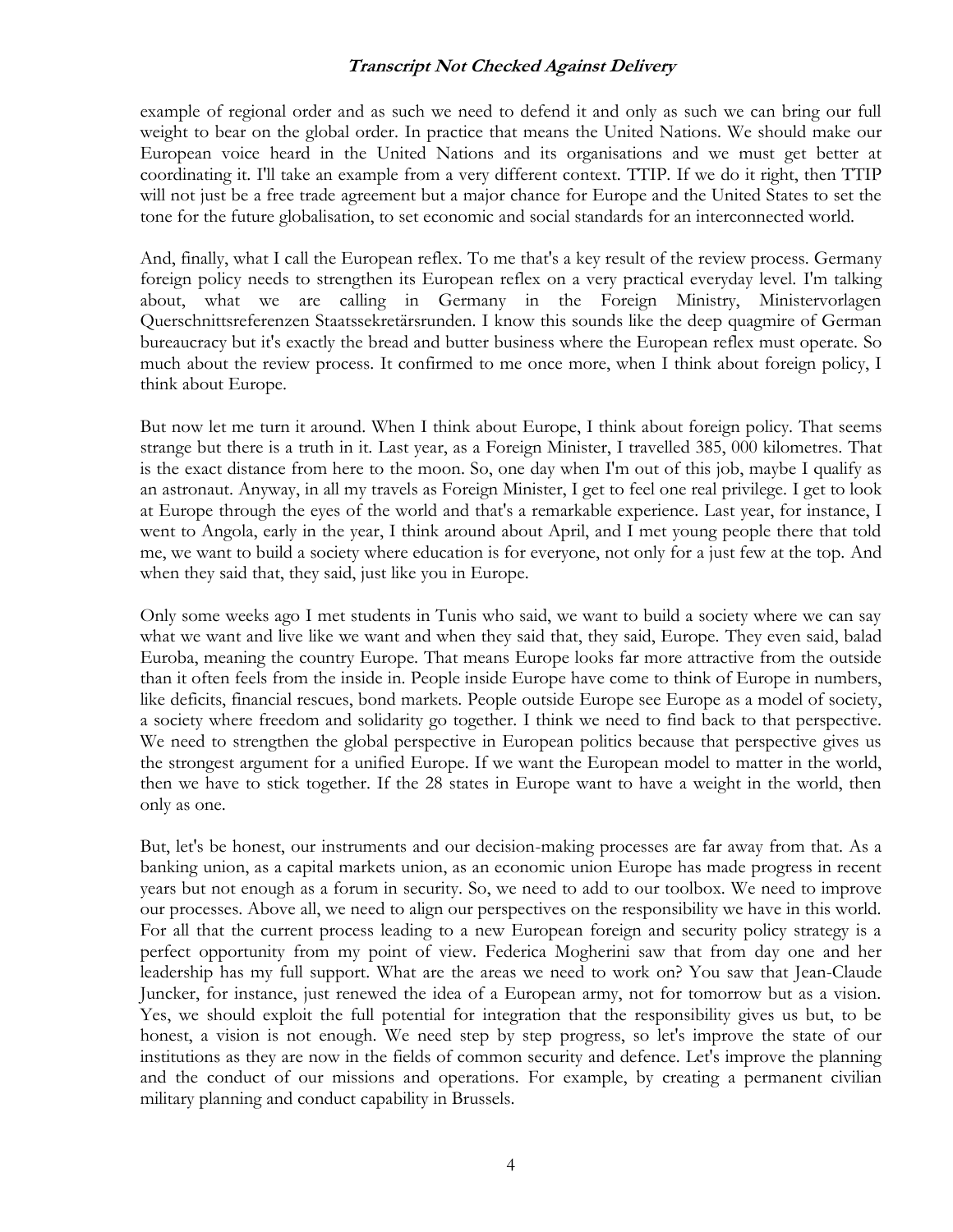example of regional order and as such we need to defend it and only as such we can bring our full weight to bear on the global order. In practice that means the United Nations. We should make our European voice heard in the United Nations and its organisations and we must get better at coordinating it. I'll take an example from a very different context. TTIP. If we do it right, then TTIP will not just be a free trade agreement but a major chance for Europe and the United States to set the tone for the future globalisation, to set economic and social standards for an interconnected world.

And, finally, what I call the European reflex. To me that's a key result of the review process. Germany foreign policy needs to strengthen its European reflex on a very practical everyday level. I'm talking about, what we are calling in Germany in the Foreign Ministry, Ministervorlagen Querschnittsreferenzen Staatssekretärsrunden. I know this sounds like the deep quagmire of German bureaucracy but it's exactly the bread and butter business where the European reflex must operate. So much about the review process. It confirmed to me once more, when I think about foreign policy, I think about Europe.

But now let me turn it around. When I think about Europe, I think about foreign policy. That seems strange but there is a truth in it. Last year, as a Foreign Minister, I travelled 385, 000 kilometres. That is the exact distance from here to the moon. So, one day when I'm out of this job, maybe I qualify as an astronaut. Anyway, in all my travels as Foreign Minister, I get to feel one real privilege. I get to look at Europe through the eyes of the world and that's a remarkable experience. Last year, for instance, I went to Angola, early in the year, I think around about April, and I met young people there that told me, we want to build a society where education is for everyone, not only for a just few at the top. And when they said that, they said, just like you in Europe.

Only some weeks ago I met students in Tunis who said, we want to build a society where we can say what we want and live like we want and when they said that, they said, Europe. They even said, balad Euroba, meaning the country Europe. That means Europe looks far more attractive from the outside than it often feels from the inside in. People inside Europe have come to think of Europe in numbers, like deficits, financial rescues, bond markets. People outside Europe see Europe as a model of society, a society where freedom and solidarity go together. I think we need to find back to that perspective. We need to strengthen the global perspective in European politics because that perspective gives us the strongest argument for a unified Europe. If we want the European model to matter in the world, then we have to stick together. If the 28 states in Europe want to have a weight in the world, then only as one.

But, let's be honest, our instruments and our decision-making processes are far away from that. As a banking union, as a capital markets union, as an economic union Europe has made progress in recent years but not enough as a forum in security. So, we need to add to our toolbox. We need to improve our processes. Above all, we need to align our perspectives on the responsibility we have in this world. For all that the current process leading to a new European foreign and security policy strategy is a perfect opportunity from my point of view. Federica Mogherini saw that from day one and her leadership has my full support. What are the areas we need to work on? You saw that Jean-Claude Juncker, for instance, just renewed the idea of a European army, not for tomorrow but as a vision. Yes, we should exploit the full potential for integration that the responsibility gives us but, to be honest, a vision is not enough. We need step by step progress, so let's improve the state of our institutions as they are now in the fields of common security and defence. Let's improve the planning and the conduct of our missions and operations. For example, by creating a permanent civilian military planning and conduct capability in Brussels.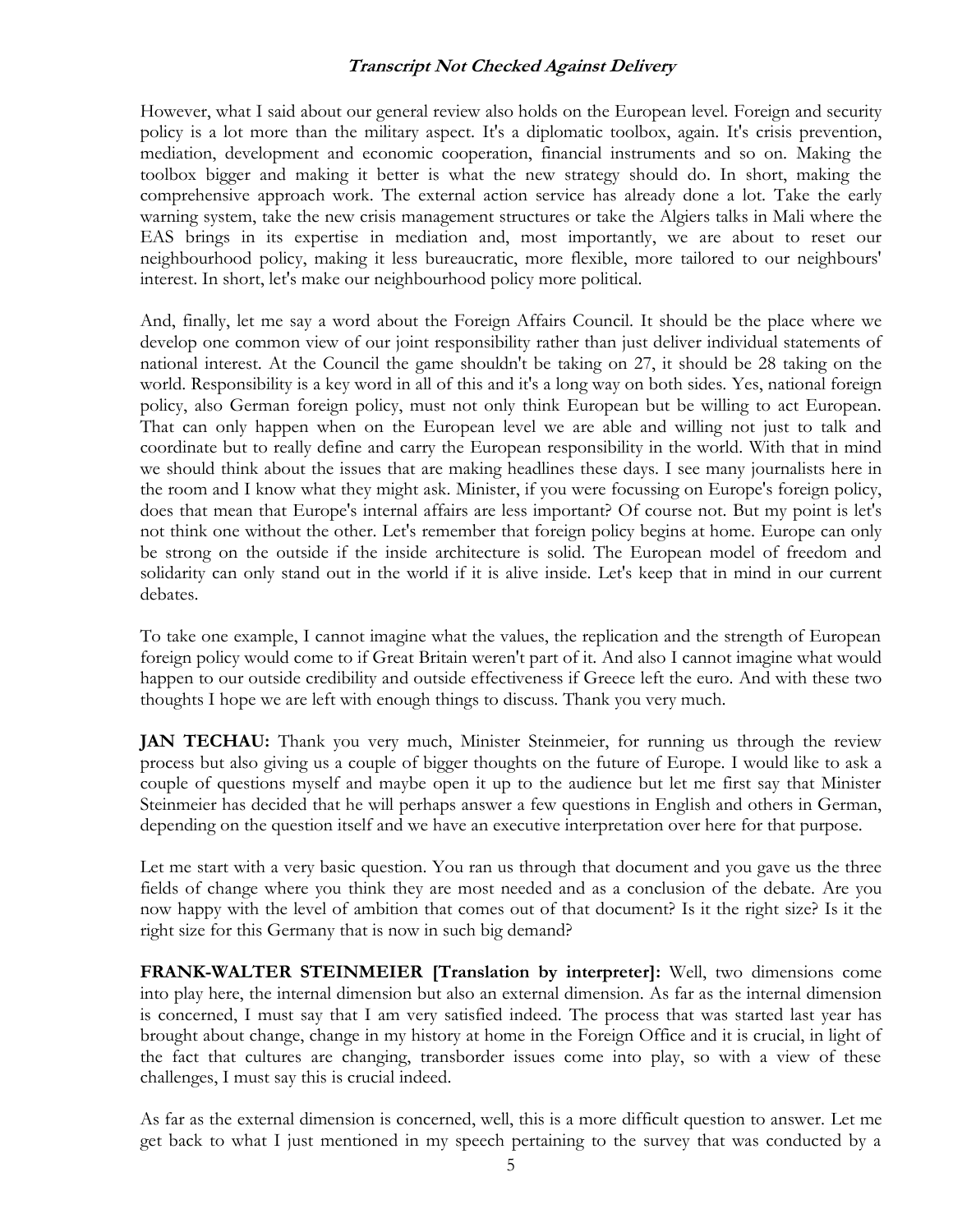However, what I said about our general review also holds on the European level. Foreign and security policy is a lot more than the military aspect. It's a diplomatic toolbox, again. It's crisis prevention, mediation, development and economic cooperation, financial instruments and so on. Making the toolbox bigger and making it better is what the new strategy should do. In short, making the comprehensive approach work. The external action service has already done a lot. Take the early warning system, take the new crisis management structures or take the Algiers talks in Mali where the EAS brings in its expertise in mediation and, most importantly, we are about to reset our neighbourhood policy, making it less bureaucratic, more flexible, more tailored to our neighbours' interest. In short, let's make our neighbourhood policy more political.

And, finally, let me say a word about the Foreign Affairs Council. It should be the place where we develop one common view of our joint responsibility rather than just deliver individual statements of national interest. At the Council the game shouldn't be taking on 27, it should be 28 taking on the world. Responsibility is a key word in all of this and it's a long way on both sides. Yes, national foreign policy, also German foreign policy, must not only think European but be willing to act European. That can only happen when on the European level we are able and willing not just to talk and coordinate but to really define and carry the European responsibility in the world. With that in mind we should think about the issues that are making headlines these days. I see many journalists here in the room and I know what they might ask. Minister, if you were focussing on Europe's foreign policy, does that mean that Europe's internal affairs are less important? Of course not. But my point is let's not think one without the other. Let's remember that foreign policy begins at home. Europe can only be strong on the outside if the inside architecture is solid. The European model of freedom and solidarity can only stand out in the world if it is alive inside. Let's keep that in mind in our current debates.

To take one example, I cannot imagine what the values, the replication and the strength of European foreign policy would come to if Great Britain weren't part of it. And also I cannot imagine what would happen to our outside credibility and outside effectiveness if Greece left the euro. And with these two thoughts I hope we are left with enough things to discuss. Thank you very much.

**JAN TECHAU:** Thank you very much, Minister Steinmeier, for running us through the review process but also giving us a couple of bigger thoughts on the future of Europe. I would like to ask a couple of questions myself and maybe open it up to the audience but let me first say that Minister Steinmeier has decided that he will perhaps answer a few questions in English and others in German, depending on the question itself and we have an executive interpretation over here for that purpose.

Let me start with a very basic question. You ran us through that document and you gave us the three fields of change where you think they are most needed and as a conclusion of the debate. Are you now happy with the level of ambition that comes out of that document? Is it the right size? Is it the right size for this Germany that is now in such big demand?

**FRANK-WALTER STEINMEIER [Translation by interpreter]:** Well, two dimensions come into play here, the internal dimension but also an external dimension. As far as the internal dimension is concerned, I must say that I am very satisfied indeed. The process that was started last year has brought about change, change in my history at home in the Foreign Office and it is crucial, in light of the fact that cultures are changing, transborder issues come into play, so with a view of these challenges, I must say this is crucial indeed.

As far as the external dimension is concerned, well, this is a more difficult question to answer. Let me get back to what I just mentioned in my speech pertaining to the survey that was conducted by a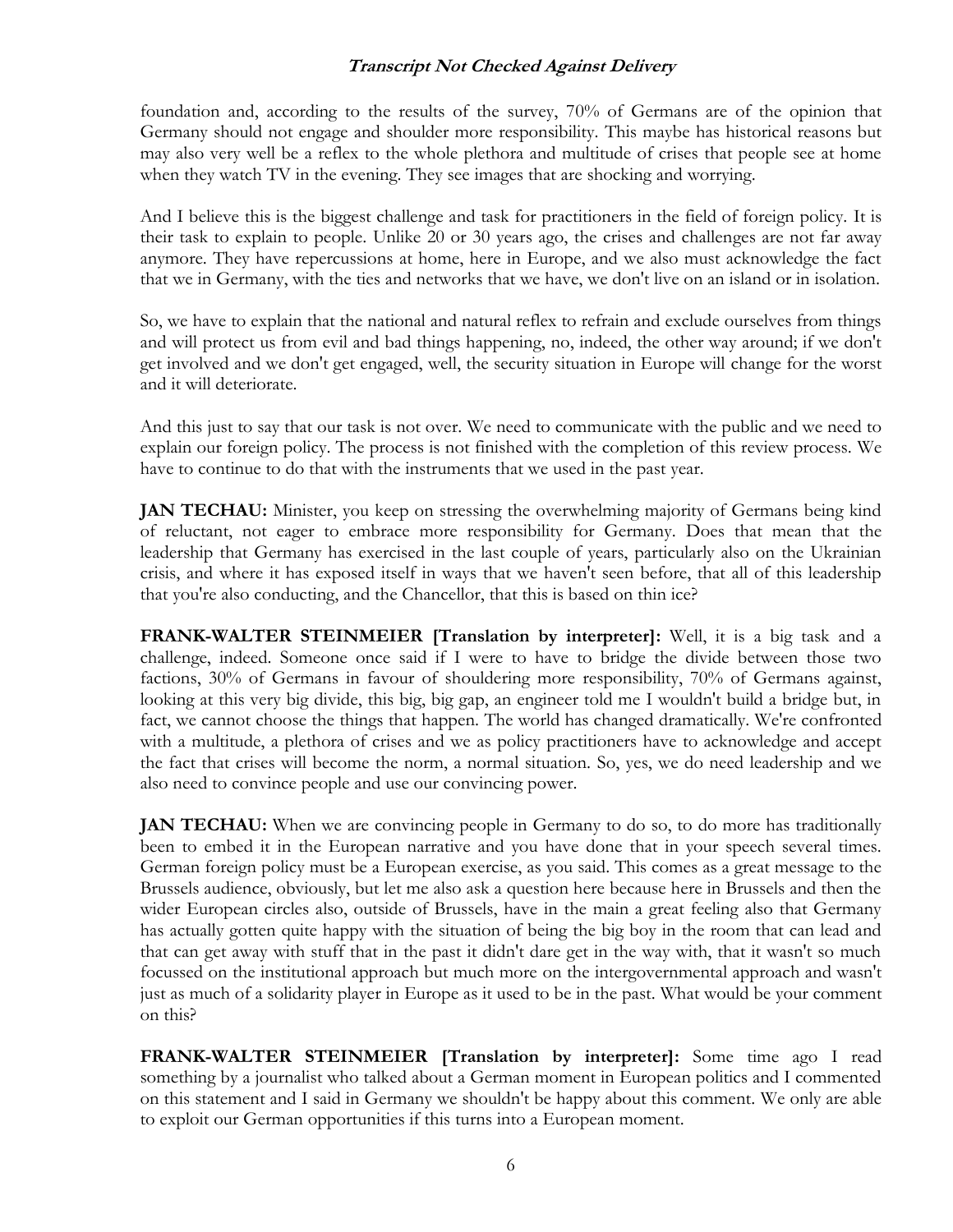foundation and, according to the results of the survey, 70% of Germans are of the opinion that Germany should not engage and shoulder more responsibility. This maybe has historical reasons but may also very well be a reflex to the whole plethora and multitude of crises that people see at home when they watch TV in the evening. They see images that are shocking and worrying.

And I believe this is the biggest challenge and task for practitioners in the field of foreign policy. It is their task to explain to people. Unlike 20 or 30 years ago, the crises and challenges are not far away anymore. They have repercussions at home, here in Europe, and we also must acknowledge the fact that we in Germany, with the ties and networks that we have, we don't live on an island or in isolation.

So, we have to explain that the national and natural reflex to refrain and exclude ourselves from things and will protect us from evil and bad things happening, no, indeed, the other way around; if we don't get involved and we don't get engaged, well, the security situation in Europe will change for the worst and it will deteriorate.

And this just to say that our task is not over. We need to communicate with the public and we need to explain our foreign policy. The process is not finished with the completion of this review process. We have to continue to do that with the instruments that we used in the past year.

**JAN TECHAU:** Minister, you keep on stressing the overwhelming majority of Germans being kind of reluctant, not eager to embrace more responsibility for Germany. Does that mean that the leadership that Germany has exercised in the last couple of years, particularly also on the Ukrainian crisis, and where it has exposed itself in ways that we haven't seen before, that all of this leadership that you're also conducting, and the Chancellor, that this is based on thin ice?

**FRANK-WALTER STEINMEIER [Translation by interpreter]:** Well, it is a big task and a challenge, indeed. Someone once said if I were to have to bridge the divide between those two factions, 30% of Germans in favour of shouldering more responsibility, 70% of Germans against, looking at this very big divide, this big, big gap, an engineer told me I wouldn't build a bridge but, in fact, we cannot choose the things that happen. The world has changed dramatically. We're confronted with a multitude, a plethora of crises and we as policy practitioners have to acknowledge and accept the fact that crises will become the norm, a normal situation. So, yes, we do need leadership and we also need to convince people and use our convincing power.

**JAN TECHAU:** When we are convincing people in Germany to do so, to do more has traditionally been to embed it in the European narrative and you have done that in your speech several times. German foreign policy must be a European exercise, as you said. This comes as a great message to the Brussels audience, obviously, but let me also ask a question here because here in Brussels and then the wider European circles also, outside of Brussels, have in the main a great feeling also that Germany has actually gotten quite happy with the situation of being the big boy in the room that can lead and that can get away with stuff that in the past it didn't dare get in the way with, that it wasn't so much focussed on the institutional approach but much more on the intergovernmental approach and wasn't just as much of a solidarity player in Europe as it used to be in the past. What would be your comment on this?

**FRANK-WALTER STEINMEIER [Translation by interpreter]:** Some time ago I read something by a journalist who talked about a German moment in European politics and I commented on this statement and I said in Germany we shouldn't be happy about this comment. We only are able to exploit our German opportunities if this turns into a European moment.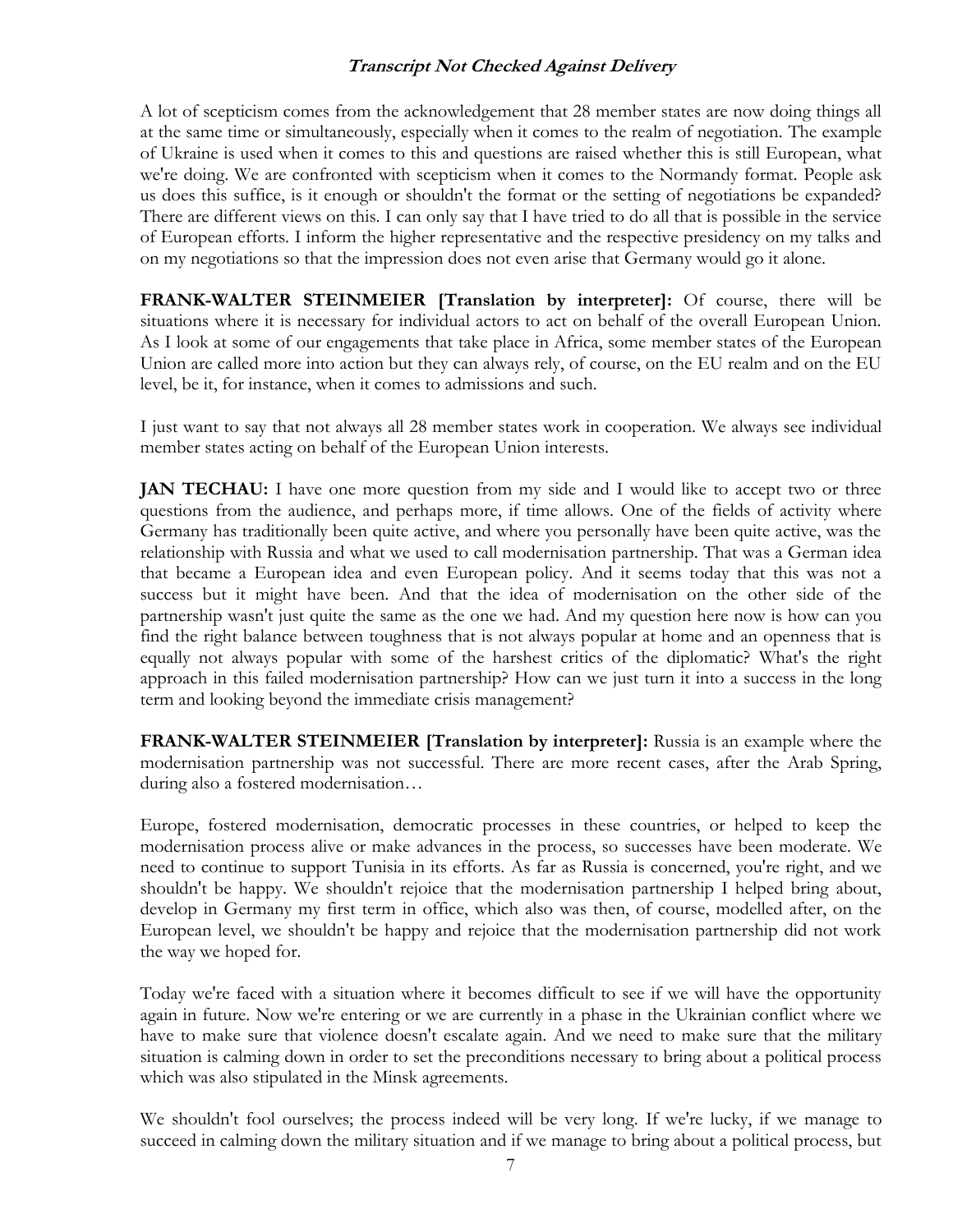A lot of scepticism comes from the acknowledgement that 28 member states are now doing things all at the same time or simultaneously, especially when it comes to the realm of negotiation. The example of Ukraine is used when it comes to this and questions are raised whether this is still European, what we're doing. We are confronted with scepticism when it comes to the Normandy format. People ask us does this suffice, is it enough or shouldn't the format or the setting of negotiations be expanded? There are different views on this. I can only say that I have tried to do all that is possible in the service of European efforts. I inform the higher representative and the respective presidency on my talks and on my negotiations so that the impression does not even arise that Germany would go it alone.

**FRANK-WALTER STEINMEIER [Translation by interpreter]:** Of course, there will be situations where it is necessary for individual actors to act on behalf of the overall European Union. As I look at some of our engagements that take place in Africa, some member states of the European Union are called more into action but they can always rely, of course, on the EU realm and on the EU level, be it, for instance, when it comes to admissions and such.

I just want to say that not always all 28 member states work in cooperation. We always see individual member states acting on behalf of the European Union interests.

**JAN TECHAU:** I have one more question from my side and I would like to accept two or three questions from the audience, and perhaps more, if time allows. One of the fields of activity where Germany has traditionally been quite active, and where you personally have been quite active, was the relationship with Russia and what we used to call modernisation partnership. That was a German idea that became a European idea and even European policy. And it seems today that this was not a success but it might have been. And that the idea of modernisation on the other side of the partnership wasn't just quite the same as the one we had. And my question here now is how can you find the right balance between toughness that is not always popular at home and an openness that is equally not always popular with some of the harshest critics of the diplomatic? What's the right approach in this failed modernisation partnership? How can we just turn it into a success in the long term and looking beyond the immediate crisis management?

**FRANK-WALTER STEINMEIER [Translation by interpreter]:** Russia is an example where the modernisation partnership was not successful. There are more recent cases, after the Arab Spring, during also a fostered modernisation…

Europe, fostered modernisation, democratic processes in these countries, or helped to keep the modernisation process alive or make advances in the process, so successes have been moderate. We need to continue to support Tunisia in its efforts. As far as Russia is concerned, you're right, and we shouldn't be happy. We shouldn't rejoice that the modernisation partnership I helped bring about, develop in Germany my first term in office, which also was then, of course, modelled after, on the European level, we shouldn't be happy and rejoice that the modernisation partnership did not work the way we hoped for.

Today we're faced with a situation where it becomes difficult to see if we will have the opportunity again in future. Now we're entering or we are currently in a phase in the Ukrainian conflict where we have to make sure that violence doesn't escalate again. And we need to make sure that the military situation is calming down in order to set the preconditions necessary to bring about a political process which was also stipulated in the Minsk agreements.

We shouldn't fool ourselves; the process indeed will be very long. If we're lucky, if we manage to succeed in calming down the military situation and if we manage to bring about a political process, but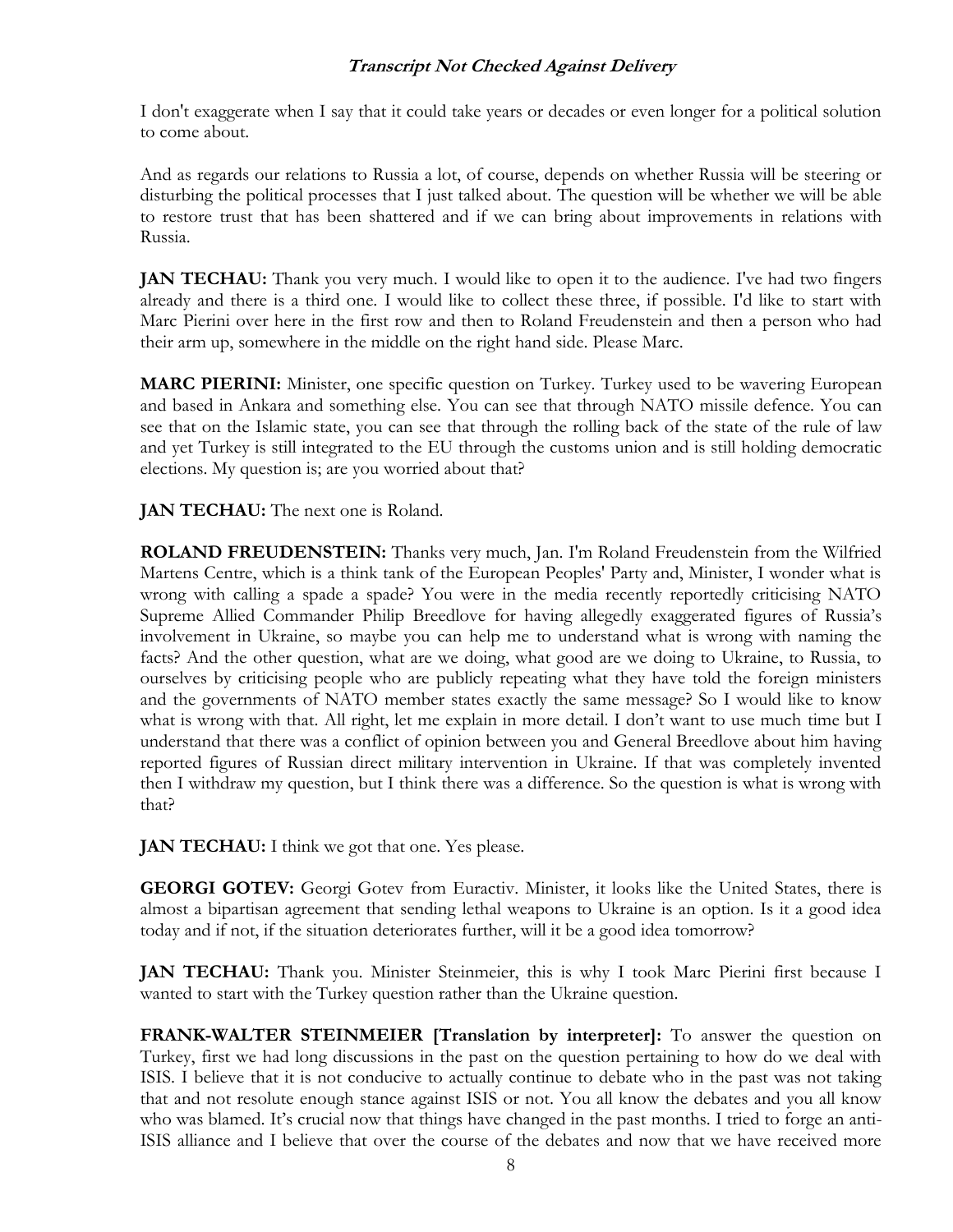I don't exaggerate when I say that it could take years or decades or even longer for a political solution to come about.

And as regards our relations to Russia a lot, of course, depends on whether Russia will be steering or disturbing the political processes that I just talked about. The question will be whether we will be able to restore trust that has been shattered and if we can bring about improvements in relations with Russia.

**JAN TECHAU:** Thank you very much. I would like to open it to the audience. I've had two fingers already and there is a third one. I would like to collect these three, if possible. I'd like to start with Marc Pierini over here in the first row and then to Roland Freudenstein and then a person who had their arm up, somewhere in the middle on the right hand side. Please Marc.

**MARC PIERINI:** Minister, one specific question on Turkey. Turkey used to be wavering European and based in Ankara and something else. You can see that through NATO missile defence. You can see that on the Islamic state, you can see that through the rolling back of the state of the rule of law and yet Turkey is still integrated to the EU through the customs union and is still holding democratic elections. My question is; are you worried about that?

**JAN TECHAU:** The next one is Roland.

**ROLAND FREUDENSTEIN:** Thanks very much, Jan. I'm Roland Freudenstein from the Wilfried Martens Centre, which is a think tank of the European Peoples' Party and, Minister, I wonder what is wrong with calling a spade a spade? You were in the media recently reportedly criticising NATO Supreme Allied Commander Philip Breedlove for having allegedly exaggerated figures of Russia's involvement in Ukraine, so maybe you can help me to understand what is wrong with naming the facts? And the other question, what are we doing, what good are we doing to Ukraine, to Russia, to ourselves by criticising people who are publicly repeating what they have told the foreign ministers and the governments of NATO member states exactly the same message? So I would like to know what is wrong with that. All right, let me explain in more detail. I don't want to use much time but I understand that there was a conflict of opinion between you and General Breedlove about him having reported figures of Russian direct military intervention in Ukraine. If that was completely invented then I withdraw my question, but I think there was a difference. So the question is what is wrong with that?

**JAN TECHAU:** I think we got that one. Yes please.

**GEORGI GOTEV:** Georgi Gotev from Euractiv. Minister, it looks like the United States, there is almost a bipartisan agreement that sending lethal weapons to Ukraine is an option. Is it a good idea today and if not, if the situation deteriorates further, will it be a good idea tomorrow?

**JAN TECHAU:** Thank you. Minister Steinmeier, this is why I took Marc Pierini first because I wanted to start with the Turkey question rather than the Ukraine question.

**FRANK-WALTER STEINMEIER [Translation by interpreter]:** To answer the question on Turkey, first we had long discussions in the past on the question pertaining to how do we deal with ISIS. I believe that it is not conducive to actually continue to debate who in the past was not taking that and not resolute enough stance against ISIS or not. You all know the debates and you all know who was blamed. It's crucial now that things have changed in the past months. I tried to forge an anti-ISIS alliance and I believe that over the course of the debates and now that we have received more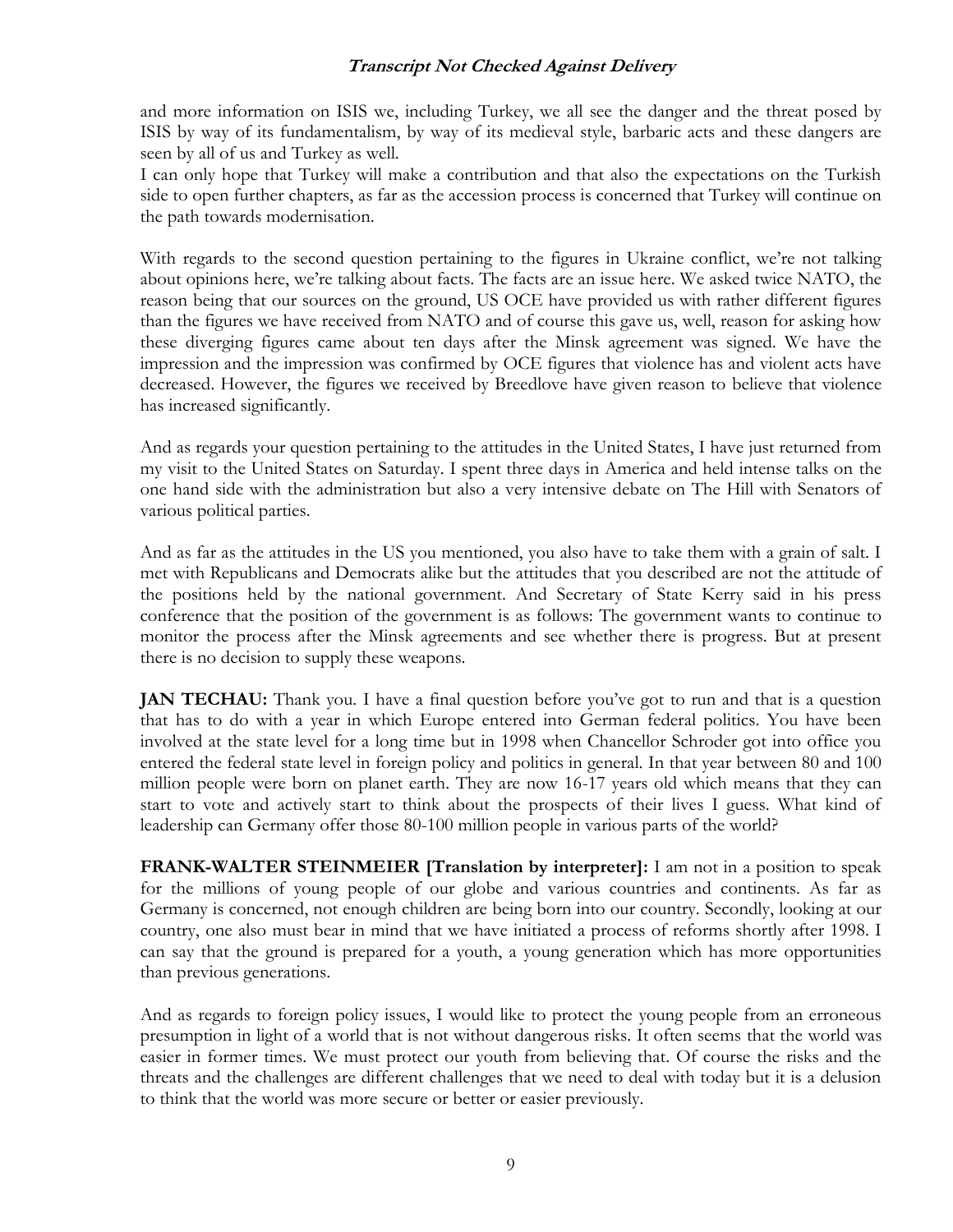and more information on ISIS we, including Turkey, we all see the danger and the threat posed by ISIS by way of its fundamentalism, by way of its medieval style, barbaric acts and these dangers are seen by all of us and Turkey as well.

I can only hope that Turkey will make a contribution and that also the expectations on the Turkish side to open further chapters, as far as the accession process is concerned that Turkey will continue on the path towards modernisation.

With regards to the second question pertaining to the figures in Ukraine conflict, we're not talking about opinions here, we're talking about facts. The facts are an issue here. We asked twice NATO, the reason being that our sources on the ground, US OCE have provided us with rather different figures than the figures we have received from NATO and of course this gave us, well, reason for asking how these diverging figures came about ten days after the Minsk agreement was signed. We have the impression and the impression was confirmed by OCE figures that violence has and violent acts have decreased. However, the figures we received by Breedlove have given reason to believe that violence has increased significantly.

And as regards your question pertaining to the attitudes in the United States, I have just returned from my visit to the United States on Saturday. I spent three days in America and held intense talks on the one hand side with the administration but also a very intensive debate on The Hill with Senators of various political parties.

And as far as the attitudes in the US you mentioned, you also have to take them with a grain of salt. I met with Republicans and Democrats alike but the attitudes that you described are not the attitude of the positions held by the national government. And Secretary of State Kerry said in his press conference that the position of the government is as follows: The government wants to continue to monitor the process after the Minsk agreements and see whether there is progress. But at present there is no decision to supply these weapons.

**JAN TECHAU:** Thank you. I have a final question before you've got to run and that is a question that has to do with a year in which Europe entered into German federal politics. You have been involved at the state level for a long time but in 1998 when Chancellor Schroder got into office you entered the federal state level in foreign policy and politics in general. In that year between 80 and 100 million people were born on planet earth. They are now 16-17 years old which means that they can start to vote and actively start to think about the prospects of their lives I guess. What kind of leadership can Germany offer those 80-100 million people in various parts of the world?

**FRANK-WALTER STEINMEIER [Translation by interpreter]:** I am not in a position to speak for the millions of young people of our globe and various countries and continents. As far as Germany is concerned, not enough children are being born into our country. Secondly, looking at our country, one also must bear in mind that we have initiated a process of reforms shortly after 1998. I can say that the ground is prepared for a youth, a young generation which has more opportunities than previous generations.

And as regards to foreign policy issues, I would like to protect the young people from an erroneous presumption in light of a world that is not without dangerous risks. It often seems that the world was easier in former times. We must protect our youth from believing that. Of course the risks and the threats and the challenges are different challenges that we need to deal with today but it is a delusion to think that the world was more secure or better or easier previously.